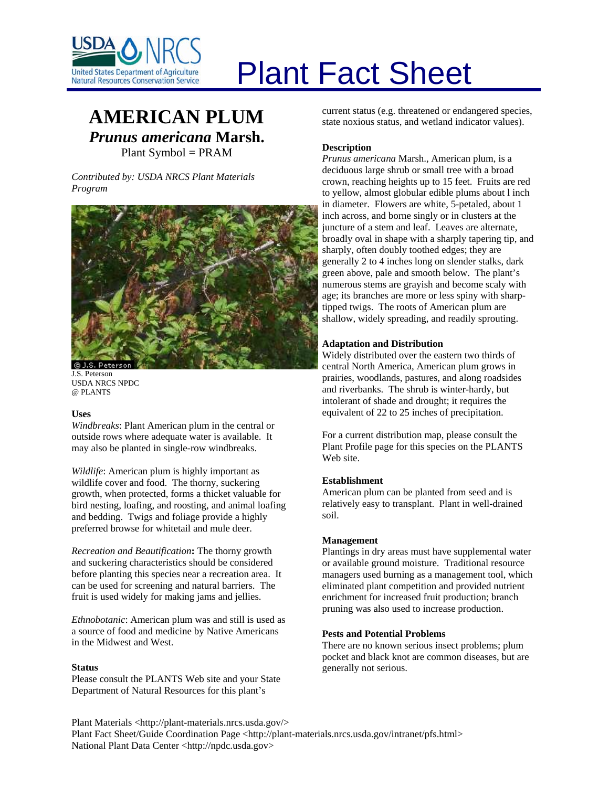

## **AMERICAN PLUM** *Prunus americana* **Marsh.** Plant Symbol = PRAM

*Contributed by: USDA NRCS Plant Materials Program* 





#### **Uses**

*Windbreaks*: Plant American plum in the central or outside rows where adequate water is available. It may also be planted in single-row windbreaks.

*Wildlife*: American plum is highly important as wildlife cover and food. The thorny, suckering growth, when protected, forms a thicket valuable for bird nesting, loafing, and roosting, and animal loafing and bedding. Twigs and foliage provide a highly preferred browse for whitetail and mule deer.

*Recreation and Beautification***:** The thorny growth and suckering characteristics should be considered before planting this species near a recreation area. It can be used for screening and natural barriers. The fruit is used widely for making jams and jellies.

*Ethnobotanic*: American plum was and still is used as a source of food and medicine by Native Americans in the Midwest and West.

#### **Status**

Please consult the PLANTS Web site and your State Department of Natural Resources for this plant's

# Plant Fact Sheet

current status (e.g. threatened or endangered species, state noxious status, and wetland indicator values).

#### **Description**

*Prunus americana* Marsh.*,* American plum, is a deciduous large shrub or small tree with a broad crown, reaching heights up to 15 feet. Fruits are red to yellow, almost globular edible plums about l inch in diameter. Flowers are white, 5-petaled, about 1 inch across, and borne singly or in clusters at the juncture of a stem and leaf. Leaves are alternate, broadly oval in shape with a sharply tapering tip, and sharply, often doubly toothed edges; they are generally 2 to 4 inches long on slender stalks, dark green above, pale and smooth below. The plant's numerous stems are grayish and become scaly with age; its branches are more or less spiny with sharptipped twigs. The roots of American plum are shallow, widely spreading, and readily sprouting.

#### **Adaptation and Distribution**

Widely distributed over the eastern two thirds of central North America, American plum grows in prairies, woodlands, pastures, and along roadsides and riverbanks. The shrub is winter-hardy, but intolerant of shade and drought; it requires the equivalent of 22 to 25 inches of precipitation.

For a current distribution map, please consult the Plant Profile page for this species on the PLANTS Web site.

#### **Establishment**

American plum can be planted from seed and is relatively easy to transplant. Plant in well-drained soil.

#### **Management**

Plantings in dry areas must have supplemental water or available ground moisture. Traditional resource managers used burning as a management tool, which eliminated plant competition and provided nutrient enrichment for increased fruit production; branch pruning was also used to increase production.

#### **Pests and Potential Problems**

There are no known serious insect problems; plum pocket and black knot are common diseases, but are generally not serious.

Plant Materials <http://plant-materials.nrcs.usda.gov/> Plant Fact Sheet/Guide Coordination Page <http://plant-materials.nrcs.usda.gov/intranet/pfs.html> National Plant Data Center <http://npdc.usda.gov>